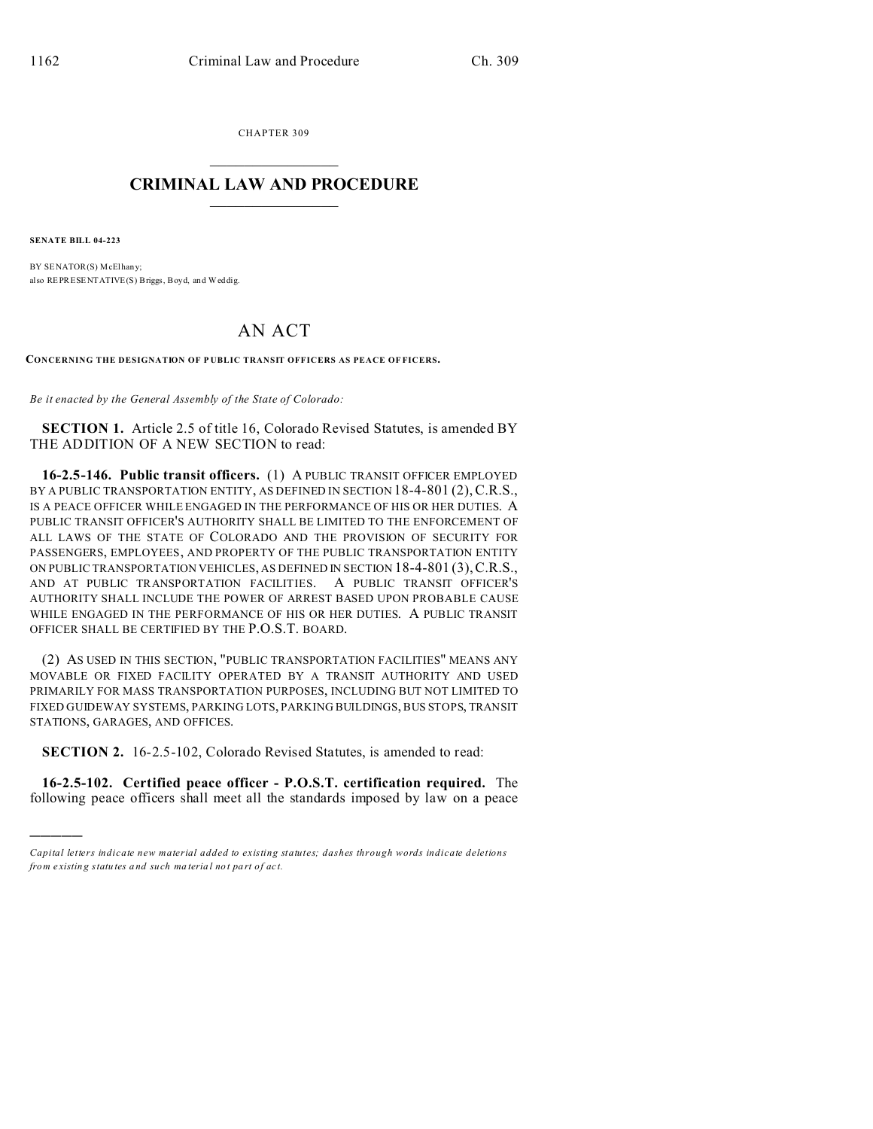CHAPTER 309  $\overline{\phantom{a}}$  , where  $\overline{\phantom{a}}$ 

## **CRIMINAL LAW AND PROCEDURE**  $\_$   $\_$   $\_$   $\_$   $\_$   $\_$   $\_$   $\_$   $\_$

**SENATE BILL 04-223**

)))))

BY SENATOR(S) McElhany; also REPRESENTATIVE(S) Briggs, Boyd, and Weddig.

## AN ACT

**CONCERNING THE DESIGNATION OF P UBLIC TRANSIT OFFICERS AS PEACE OF FICERS.**

*Be it enacted by the General Assembly of the State of Colorado:*

**SECTION 1.** Article 2.5 of title 16, Colorado Revised Statutes, is amended BY THE ADDITION OF A NEW SECTION to read:

**16-2.5-146. Public transit officers.** (1) A PUBLIC TRANSIT OFFICER EMPLOYED BY A PUBLIC TRANSPORTATION ENTITY, AS DEFINED IN SECTION 18-4-801 (2), C.R.S., IS A PEACE OFFICER WHILE ENGAGED IN THE PERFORMANCE OF HIS OR HER DUTIES. A PUBLIC TRANSIT OFFICER'S AUTHORITY SHALL BE LIMITED TO THE ENFORCEMENT OF ALL LAWS OF THE STATE OF COLORADO AND THE PROVISION OF SECURITY FOR PASSENGERS, EMPLOYEES, AND PROPERTY OF THE PUBLIC TRANSPORTATION ENTITY ON PUBLIC TRANSPORTATION VEHICLES, AS DEFINED IN SECTION 18-4-801 (3),C.R.S., AND AT PUBLIC TRANSPORTATION FACILITIES. A PUBLIC TRANSIT OFFICER'S AUTHORITY SHALL INCLUDE THE POWER OF ARREST BASED UPON PROBABLE CAUSE WHILE ENGAGED IN THE PERFORMANCE OF HIS OR HER DUTIES. A PUBLIC TRANSIT OFFICER SHALL BE CERTIFIED BY THE P.O.S.T. BOARD.

(2) AS USED IN THIS SECTION, "PUBLIC TRANSPORTATION FACILITIES" MEANS ANY MOVABLE OR FIXED FACILITY OPERATED BY A TRANSIT AUTHORITY AND USED PRIMARILY FOR MASS TRANSPORTATION PURPOSES, INCLUDING BUT NOT LIMITED TO FIXED GUIDEWAY SYSTEMS, PARKING LOTS, PARKING BUILDINGS, BUS STOPS, TRANSIT STATIONS, GARAGES, AND OFFICES.

**SECTION 2.** 16-2.5-102, Colorado Revised Statutes, is amended to read:

**16-2.5-102. Certified peace officer - P.O.S.T. certification required.** The following peace officers shall meet all the standards imposed by law on a peace

*Capital letters indicate new material added to existing statutes; dashes through words indicate deletions from e xistin g statu tes a nd such ma teria l no t pa rt of ac t.*